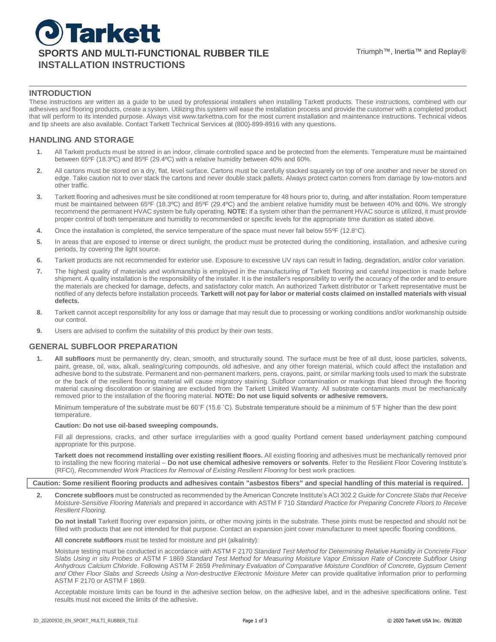## **INTRODUCTION**

These instructions are written as a guide to be used by professional installers when installing Tarkett products. These instructions, combined with our adhesives and flooring products, create a system. Utilizing this system will ease the installation process and provide the customer with a completed product that will perform to its intended purpose. Always visit www.tarkettna.com for the most current installation and maintenance instructions. Technical videos and tip sheets are also available. Contact Tarkett Technical Services at (800)-899-8916 with any questions.

# **HANDLING AND STORAGE**

- **1.** All Tarkett products must be stored in an indoor, climate controlled space and be protected from the elements. Temperature must be maintained between 65ºF (18.3ºC) and 85ºF (29.4ºC) with a relative humidity between 40% and 60%.
- **2.** All cartons must be stored on a dry, flat, level surface. Cartons must be carefully stacked squarely on top of one another and never be stored on edge. Take caution not to over stack the cartons and never double stack pallets. Always protect carton corners from damage by tow-motors and other traffic.
- **3.** Tarkett flooring and adhesives must be site conditioned at room temperature for 48 hours prior to, during, and after installation. Room temperature must be maintained between 65ºF (18.3ºC) and 85ºF (29.4ºC) and the ambient relative humidity must be between 40% and 60%. We strongly recommend the permanent HVAC system be fully operating. **NOTE:** If a system other than the permanent HVAC source is utilized, it must provide proper control of both temperature and humidity to recommended or specific levels for the appropriate time duration as stated above.
- **4.** Once the installation is completed, the service temperature of the space must never fall below 55<sup>o</sup>F (12.8<sup>o</sup>C).
- **5.** In areas that are exposed to intense or direct sunlight, the product must be protected during the conditioning, installation, and adhesive curing periods, by covering the light source.
- **6.** Tarkett products are not recommended for exterior use. Exposure to excessive UV rays can result in fading, degradation, and/or color variation.
- **7.** The highest quality of materials and workmanship is employed in the manufacturing of Tarkett flooring and careful inspection is made before shipment. A quality installation is the responsibility of the installer. It is the installer's responsibility to verify the accuracy of the order and to ensure the materials are checked for damage, defects, and satisfactory color match. An authorized Tarkett distributor or Tarkett representative must be notified of any defects before installation proceeds. **Tarkett will not pay for labor or material costs claimed on installed materials with visual defects.**
- **8.** Tarkett cannot accept responsibility for any loss or damage that may result due to processing or working conditions and/or workmanship outside our control.
- **9.** Users are advised to confirm the suitability of this product by their own tests.

### **GENERAL SUBFLOOR PREPARATION**

**1. All subfloors** must be permanently dry, clean, smooth, and structurally sound. The surface must be free of all dust, loose particles, solvents, paint, grease, oil, wax, alkali, sealing/curing compounds, old adhesive, and any other foreign material, which could affect the installation and adhesive bond to the substrate. Permanent and non-permanent markers, pens, crayons, paint, or similar marking tools used to mark the substrate or the back of the resilient flooring material will cause migratory staining. Subfloor contamination or markings that bleed through the flooring material causing discoloration or staining are excluded from the Tarkett Limited Warranty. All substrate contaminants must be mechanically removed prior to the installation of the flooring material. **NOTE: Do not use liquid solvents or adhesive removers.**

Minimum temperature of the substrate must be 60˚F (15.6 ˚C). Substrate temperature should be a minimum of 5˚F higher than the dew point temperature.

#### **Caution: Do not use oil-based sweeping compounds.**

Fill all depressions, cracks, and other surface irregularities with a good quality Portland cement based underlayment patching compound appropriate for this purpose.

**Tarkett does not recommend installing over existing resilient floors.** All existing flooring and adhesives must be mechanically removed prior to installing the new flooring material – **Do not use chemical adhesive removers or solvents**. Refer to the Resilient Floor Covering Institute's (RFCI), *Recommended Work Practices for Removal of Existing Resilient Flooring* for best work practices.

#### **Caution: Some resilient flooring products and adhesives contain "asbestos fibers" and special handling of this material is required.**

**2. Concrete subfloors** must be constructed as recommended by the American Concrete Institute's ACI 302.2 *Guide for Concrete Slabs that Receive Moisture-Sensitive Flooring Materials* and prepared in accordance with ASTM F 710 *Standard Practice for Preparing Concrete Floors to Receive Resilient Flooring*.

**Do not install** Tarkett flooring over expansion joints, or other moving joints in the substrate. These joints must be respected and should not be filled with products that are not intended for that purpose. Contact an expansion joint cover manufacturer to meet specific flooring conditions.

**All concrete subfloors** must be tested for moisture and pH (alkalinity):

Moisture testing must be conducted in accordance with ASTM F 2170 *Standard Test Method for Determining Relative Humidity in Concrete Floor Slabs Using in situ Probes* or ASTM F 1869 *Standard Test Method for Measuring Moisture Vapor Emission Rate of Concrete Subfloor Using Anhydrous Calcium Chloride*. Following ASTM F 2659 *Preliminary Evaluation of Comparative Moisture Condition of Concrete, Gypsum Cement*  and Other Floor Slabs and Screeds Using a Non-destructive Electronic Moisture Meter can provide qualitative information prior to performing ASTM F 2170 or ASTM F 1869.

Acceptable moisture limits can be found in the adhesive section below, on the adhesive label, and in the adhesive specifications online. Test results must not exceed the limits of the adhesive.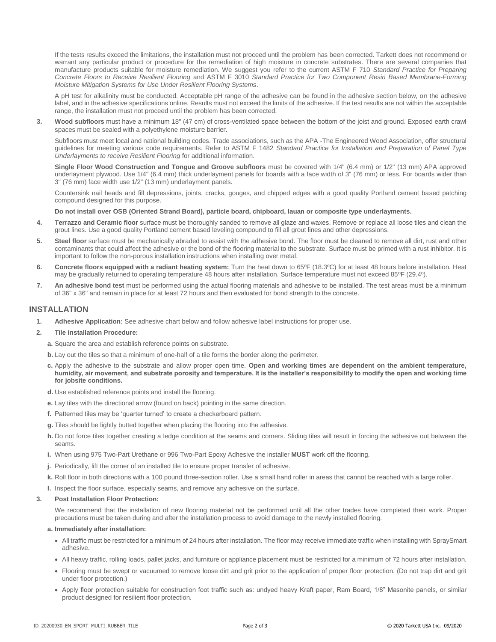If the tests results exceed the limitations, the installation must not proceed until the problem has been corrected. Tarkett does not recommend or warrant any particular product or procedure for the remediation of high moisture in concrete substrates. There are several companies that manufacture products suitable for moisture remediation. We suggest you refer to the current ASTM F 710 *Standard Practice for Preparing Concrete Floors to Receive Resilient Flooring* and ASTM F 3010 *Standard Practice for Two Component Resin Based Membrane-Forming Moisture Mitigation Systems for Use Under Resilient Flooring Systems*.

A pH test for alkalinity must be conducted. Acceptable pH range of the adhesive can be found in the adhesive section below, on the adhesive label, and in the adhesive specifications online. Results must not exceed the limits of the adhesive. If the test results are not within the acceptable range, the installation must not proceed until the problem has been corrected.

**3. Wood subfloors** must have a minimum 18" (47 cm) of cross-ventilated space between the bottom of the joist and ground. Exposed earth crawl spaces must be sealed with a polyethylene moisture barrier.

Subfloors must meet local and national building codes. Trade associations, such as the APA -The Engineered Wood Association, offer structural guidelines for meeting various code requirements. Refer to ASTM F 1482 *Standard Practice for Installation and Preparation of Panel Type Underlayments to receive Resilient Flooring* for additional information.

**Single Floor Wood Construction and Tongue and Groove subfloors** must be covered with 1/4" (6.4 mm) or 1/2" (13 mm) APA approved underlayment plywood. Use 1/4" (6.4 mm) thick underlayment panels for boards with a face width of 3" (76 mm) or less. For boards wider than 3" (76 mm) face width use 1/2" (13 mm) underlayment panels.

Countersink nail heads and fill depressions, joints, cracks, gouges, and chipped edges with a good quality Portland cement based patching compound designed for this purpose.

#### **Do not install over OSB (Oriented Strand Board), particle board, chipboard, lauan or composite type underlayments.**

- **4. Terrazzo and Ceramic floor** surface must be thoroughly sanded to remove all glaze and waxes. Remove or replace all loose tiles and clean the grout lines. Use a good quality Portland cement based leveling compound to fill all grout lines and other depressions.
- **5. Steel floor** surface must be mechanically abraded to assist with the adhesive bond. The floor must be cleaned to remove all dirt, rust and other contaminants that could affect the adhesive or the bond of the flooring material to the substrate. Surface must be primed with a rust inhibitor. It is important to follow the non-porous installation instructions when installing over metal.
- **6. Concrete floors equipped with a radiant heating system:** Turn the heat down to 65ºF (18.3ºC) for at least 48 hours before installation. Heat may be gradually returned to operating temperature 48 hours after installation. Surface temperature must not exceed 85ºF (29.4º).
- **7. An adhesive bond test** must be performed using the actual flooring materials and adhesive to be installed. The test areas must be a minimum of 36" x 36" and remain in place for at least 72 hours and then evaluated for bond strength to the concrete.

### **INSTALLATION**

**1. Adhesive Application:** See adhesive chart below and follow adhesive label instructions for proper use.

#### **2. Tile Installation Procedure:**

- **a.** Square the area and establish reference points on substrate.
- **b.** Lay out the tiles so that a minimum of one-half of a tile forms the border along the perimeter.
- **c.** Apply the adhesive to the substrate and allow proper open time. **Open and working times are dependent on the ambient temperature, humidity, air movement, and substrate porosity and temperature. It is the installer's responsibility to modify the open and working time for jobsite conditions.**
- **d.** Use established reference points and install the flooring.
- **e.** Lay tiles with the directional arrow (found on back) pointing in the same direction.
- **f.** Patterned tiles may be 'quarter turned' to create a checkerboard pattern.
- **g.** Tiles should be lightly butted together when placing the flooring into the adhesive.
- **h.** Do not force tiles together creating a ledge condition at the seams and corners. Sliding tiles will result in forcing the adhesive out between the seams.
- **i.** When using 975 Two-Part Urethane or 996 Two-Part Epoxy Adhesive the installer **MUST** work off the flooring.
- **j.** Periodically, lift the corner of an installed tile to ensure proper transfer of adhesive.
- **k.** Roll floor in both directions with a 100 pound three-section roller. Use a small hand roller in areas that cannot be reached with a large roller.
- **l.** Inspect the floor surface, especially seams, and remove any adhesive on the surface.

### **3. Post Installation Floor Protection:**

We recommend that the installation of new flooring material not be performed until all the other trades have completed their work. Proper precautions must be taken during and after the installation process to avoid damage to the newly installed flooring.

#### **a. Immediately after installation:**

- All traffic must be restricted for a minimum of 24 hours after installation. The floor may receive immediate traffic when installing with SpraySmart adhesive.
- All heavy traffic, rolling loads, pallet jacks, and furniture or appliance placement must be restricted for a minimum of 72 hours after installation.
- Flooring must be swept or vacuumed to remove loose dirt and grit prior to the application of proper floor protection. (Do not trap dirt and grit under floor protection.)
- Apply floor protection suitable for construction foot traffic such as: undyed heavy Kraft paper, Ram Board, 1/8" Masonite panels, or similar product designed for resilient floor protection.